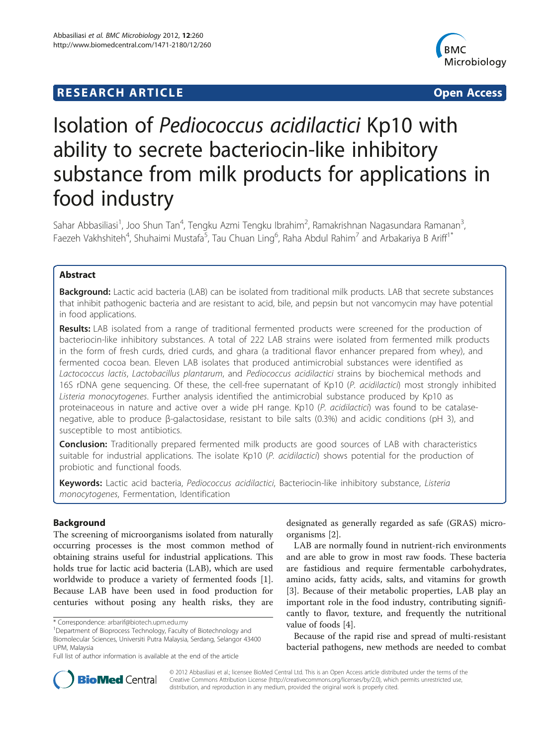# **RESEARCH ARTICLE Example 2014 CONSIDERING CONSIDERING CONSIDERING CONSIDERING CONSIDERING CONSIDERING CONSIDERING CONSIDERING CONSIDERING CONSIDERING CONSIDERING CONSIDERING CONSIDERING CONSIDERING CONSIDERING CONSIDE**



# Isolation of Pediococcus acidilactici Kp10 with ability to secrete bacteriocin-like inhibitory substance from milk products for applications in food industry

Sahar Abbasiliasi<sup>1</sup>, Joo Shun Tan<sup>4</sup>, Tengku Azmi Tengku Ibrahim<sup>2</sup>, Ramakrishnan Nagasundara Ramanan<sup>3</sup> , Faezeh Vakhshiteh<sup>4</sup>, Shuhaimi Mustafa<sup>5</sup>, Tau Chuan Ling<sup>6</sup>, Raha Abdul Rahim<sup>7</sup> and Arbakariya B Ariff<sup>1\*</sup>

# Abstract

Background: Lactic acid bacteria (LAB) can be isolated from traditional milk products. LAB that secrete substances that inhibit pathogenic bacteria and are resistant to acid, bile, and pepsin but not vancomycin may have potential in food applications.

Results: LAB isolated from a range of traditional fermented products were screened for the production of bacteriocin-like inhibitory substances. A total of 222 LAB strains were isolated from fermented milk products in the form of fresh curds, dried curds, and ghara (a traditional flavor enhancer prepared from whey), and fermented cocoa bean. Eleven LAB isolates that produced antimicrobial substances were identified as Lactococcus lactis, Lactobacillus plantarum, and Pediococcus acidilactici strains by biochemical methods and 16S rDNA gene sequencing. Of these, the cell-free supernatant of Kp10 (P. acidilactici) most strongly inhibited Listeria monocytogenes. Further analysis identified the antimicrobial substance produced by Kp10 as proteinaceous in nature and active over a wide pH range. Kp10 (P. acidilactici) was found to be catalasenegative, able to produce β-galactosidase, resistant to bile salts (0.3%) and acidic conditions (pH 3), and susceptible to most antibiotics.

**Conclusion:** Traditionally prepared fermented milk products are good sources of LAB with characteristics suitable for industrial applications. The isolate Kp10  $(P.$  acidilactici) shows potential for the production of probiotic and functional foods.

Keywords: Lactic acid bacteria, Pediococcus acidilactici, Bacteriocin-like inhibitory substance, Listeria monocytogenes, Fermentation, Identification

# Background

The screening of microorganisms isolated from naturally occurring processes is the most common method of obtaining strains useful for industrial applications. This holds true for lactic acid bacteria (LAB), which are used worldwide to produce a variety of fermented foods [\[1](#page-10-0)]. Because LAB have been used in food production for centuries without posing any health risks, they are

designated as generally regarded as safe (GRAS) microorganisms [\[2](#page-10-0)].

LAB are normally found in nutrient-rich environments and are able to grow in most raw foods. These bacteria are fastidious and require fermentable carbohydrates, amino acids, fatty acids, salts, and vitamins for growth [[3\]](#page-10-0). Because of their metabolic properties, LAB play an important role in the food industry, contributing significantly to flavor, texture, and frequently the nutritional value of foods [[4\]](#page-10-0).

Because of the rapid rise and spread of multi-resistant bacterial pathogens, new methods are needed to combat



© 2012 Abbasiliasi et al.; licensee BioMed Central Ltd. This is an Open Access article distributed under the terms of the Creative Commons Attribution License (<http://creativecommons.org/licenses/by/2.0>), which permits unrestricted use, distribution, and reproduction in any medium, provided the original work is properly cited.

<sup>\*</sup> Correspondence: [arbarif@biotech.upm.edu.my](mailto:arbarif@biotech.upm.edu.my) <sup>1</sup>

Department of Bioprocess Technology, Faculty of Biotechnology and Biomolecular Sciences, Universiti Putra Malaysia, Serdang, Selangor 43400 UPM, Malaysia

Full list of author information is available at the end of the article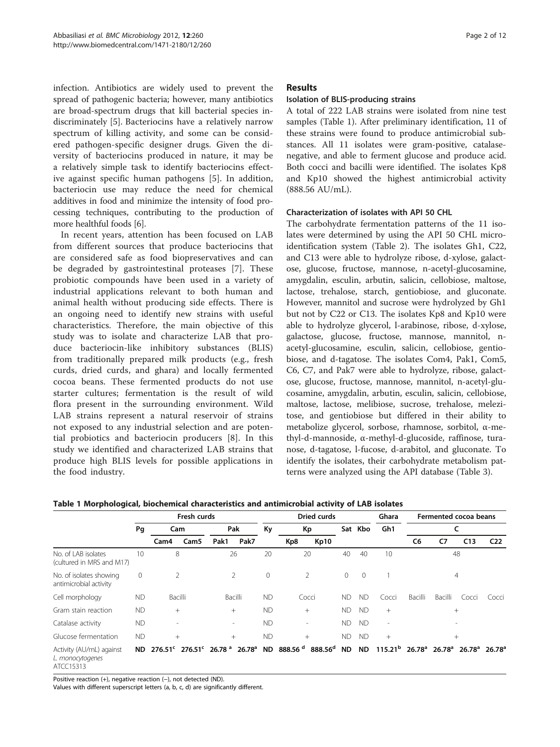<span id="page-1-0"></span>infection. Antibiotics are widely used to prevent the spread of pathogenic bacteria; however, many antibiotics are broad-spectrum drugs that kill bacterial species indiscriminately [\[5](#page-10-0)]. Bacteriocins have a relatively narrow spectrum of killing activity, and some can be considered pathogen-specific designer drugs. Given the diversity of bacteriocins produced in nature, it may be a relatively simple task to identify bacteriocins effective against specific human pathogens [[5\]](#page-10-0). In addition, bacteriocin use may reduce the need for chemical additives in food and minimize the intensity of food processing techniques, contributing to the production of more healthful foods [\[6](#page-10-0)].

In recent years, attention has been focused on LAB from different sources that produce bacteriocins that are considered safe as food biopreservatives and can be degraded by gastrointestinal proteases [\[7](#page-10-0)]. These probiotic compounds have been used in a variety of industrial applications relevant to both human and animal health without producing side effects. There is an ongoing need to identify new strains with useful characteristics. Therefore, the main objective of this study was to isolate and characterize LAB that produce bacteriocin-like inhibitory substances (BLIS) from traditionally prepared milk products (e.g., fresh curds, dried curds, and ghara) and locally fermented cocoa beans. These fermented products do not use starter cultures; fermentation is the result of wild flora present in the surrounding environment. Wild LAB strains represent a natural reservoir of strains not exposed to any industrial selection and are potential probiotics and bacteriocin producers [[8](#page-10-0)]. In this study we identified and characterized LAB strains that produce high BLIS levels for possible applications in the food industry.

## Results

#### Isolation of BLIS-producing strains

A total of 222 LAB strains were isolated from nine test samples (Table 1). After preliminary identification, 11 of these strains were found to produce antimicrobial substances. All 11 isolates were gram-positive, catalasenegative, and able to ferment glucose and produce acid. Both cocci and bacilli were identified. The isolates Kp8 and Kp10 showed the highest antimicrobial activity (888.56 AU/mL).

#### Characterization of isolates with API 50 CHL

The carbohydrate fermentation patterns of the 11 isolates were determined by using the API 50 CHL microidentification system (Table [2](#page-2-0)). The isolates Gh1, C22, and C13 were able to hydrolyze ribose, d-xylose, galactose, glucose, fructose, mannose, n-acetyl-glucosamine, amygdalin, esculin, arbutin, salicin, cellobiose, maltose, lactose, trehalose, starch, gentiobiose, and gluconate. However, mannitol and sucrose were hydrolyzed by Gh1 but not by C22 or C13. The isolates Kp8 and Kp10 were able to hydrolyze glycerol, l-arabinose, ribose, d-xylose, galactose, glucose, fructose, mannose, mannitol, nacetyl-glucosamine, esculin, salicin, cellobiose, gentiobiose, and d-tagatose. The isolates Com4, Pak1, Com5, C6, C7, and Pak7 were able to hydrolyze, ribose, galactose, glucose, fructose, mannose, mannitol, n-acetyl-glucosamine, amygdalin, arbutin, esculin, salicin, cellobiose, maltose, lactose, melibiose, sucrose, trehalose, melezitose, and gentiobiose but differed in their ability to metabolize glycerol, sorbose, rhamnose, sorbitol, α-methyl-d-mannoside, α-methyl-d-glucoside, raffinose, turanose, d-tagatose, l-fucose, d-arabitol, and gluconate. To identify the isolates, their carbohydrate metabolism patterns were analyzed using the API database (Table [3\)](#page-3-0).

|                                                           | Fresh curds  |                                                                                                                                                                                       |  |              | Dried curds |              |             |        | Ghara   | Fermented cocoa beans |                          |         |                |       |                 |
|-----------------------------------------------------------|--------------|---------------------------------------------------------------------------------------------------------------------------------------------------------------------------------------|--|--------------|-------------|--------------|-------------|--------|---------|-----------------------|--------------------------|---------|----------------|-------|-----------------|
|                                                           | Pq           | Cam<br>Cam <sub>5</sub><br>Cam4                                                                                                                                                       |  | Pak          |             | Кy           | Кp          |        |         | Sat Kbo               | Gh1                      |         |                |       |                 |
|                                                           |              |                                                                                                                                                                                       |  | Pak7<br>Pak1 |             |              | Kp8<br>Kp10 |        |         |                       |                          | C6      | C7             | C13   | C <sub>22</sub> |
| No. of LAB isolates<br>(cultured in MRS and M17)          | 10           | 8                                                                                                                                                                                     |  |              | 26          |              | 20<br>20    |        | 40      | 40                    | 10                       |         | 48             |       |                 |
| No. of isolates showing<br>antimicrobial activity         | $\mathbf{0}$ | $\overline{2}$                                                                                                                                                                        |  | 2            |             | $\mathbf{0}$ | 2           |        | $\circ$ | $\Omega$              |                          |         | $\overline{4}$ |       |                 |
| Cell morphology                                           | ND.          | <b>Bacilli</b>                                                                                                                                                                        |  | Bacilli      |             | <b>ND</b>    |             | Cocci  | ND.     | <b>ND</b>             | Cocci                    | Bacilli | Bacilli        | Cocci | Cocci           |
| Gram stain reaction                                       | <b>ND</b>    | $^{+}$                                                                                                                                                                                |  | $^{+}$       |             | <b>ND</b>    |             | $^{+}$ | ND.     | <b>ND</b>             | $+$                      | $^{+}$  |                |       |                 |
| Catalase activity                                         | <b>ND</b>    | $\overline{\phantom{a}}$                                                                                                                                                              |  | $\sim$       |             | <b>ND</b>    |             | $\sim$ | ND.     | <b>ND</b>             | $\overline{\phantom{a}}$ |         |                |       |                 |
| Glucose fermentation                                      | <b>ND</b>    | $^{+}$                                                                                                                                                                                |  | $^{+}$       |             | <b>ND</b>    | $^{+}$      |        | ND.     | <b>ND</b>             | $^{+}$                   |         | $^{+}$         |       |                 |
| Activity (AU/mL) against<br>L. monocytogenes<br>ATCC15313 | ND.          | $276.51^{\circ}$ $276.51^{\circ}$ $26.78^{\circ}$ $26.78^{\circ}$ ND 888.56 $^{\circ}$ 888.56 ND ND 115.21 $^{\circ}$ $26.78^{\circ}$ $26.78^{\circ}$ $26.78^{\circ}$ $26.78^{\circ}$ |  |              |             |              |             |        |         |                       |                          |         |                |       |                 |

Table 1 Morphological, biochemical characteristics and antimicrobial activity of LAB isolates

Positive reaction (+), negative reaction (-), not detected (ND).

Values with different superscript letters (a, b, c, d) are significantly different.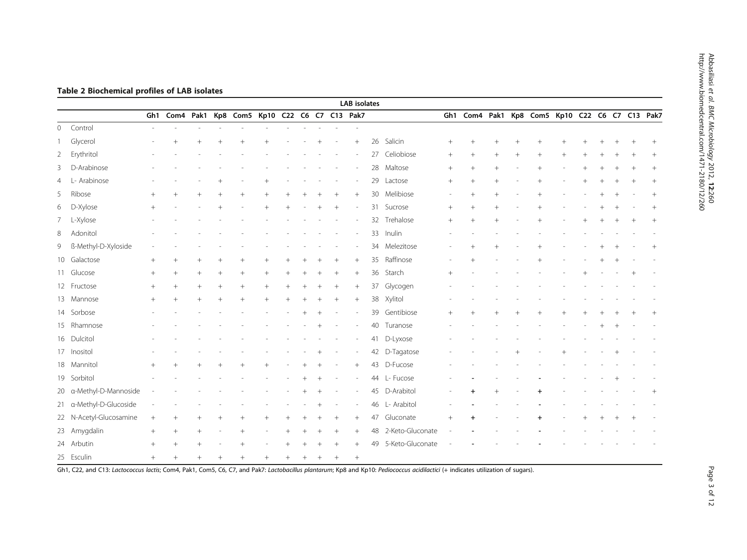|                |                         |        |                 |        |        |                                                |        |        |        |        | <b>LAB</b> isolates |    |                  |        |           |        |        |                                                |  |  |        |        |
|----------------|-------------------------|--------|-----------------|--------|--------|------------------------------------------------|--------|--------|--------|--------|---------------------|----|------------------|--------|-----------|--------|--------|------------------------------------------------|--|--|--------|--------|
|                |                         |        |                 |        |        | Gh1 Com4 Pak1 Kp8 Com5 Kp10 C22 C6 C7 C13 Pak7 |        |        |        |        |                     |    |                  |        |           |        |        | Gh1 Com4 Pak1 Kp8 Com5 Kp10 C22 C6 C7 C13 Pak7 |  |  |        |        |
| $\circ$        | Control                 |        |                 |        |        |                                                |        |        |        |        |                     |    |                  |        |           |        |        |                                                |  |  |        |        |
|                | Glycerol                |        | $^{+}$          | $^{+}$ |        |                                                |        |        |        |        | $+$                 |    | 26 Salicin       | $^{+}$ |           |        |        |                                                |  |  |        | $+$    |
|                | 2 Erythritol            |        |                 |        |        |                                                |        |        |        |        |                     |    | 27 Celiobiose    | $^{+}$ | $+$       | $^{+}$ | $^{+}$ | $+$                                            |  |  |        |        |
|                | 3 D-Arabinose           |        |                 |        |        |                                                |        |        |        |        |                     |    | 28 Maltose       | $^{+}$ | $^{+}$    | $+$    |        |                                                |  |  |        | $^{+}$ |
| $\overline{4}$ | L- Arabinose            |        |                 |        |        |                                                |        |        |        |        |                     | 29 | Lactose          | $^{+}$ | $+$       | $^{+}$ |        | $^{+}$                                         |  |  | $^{+}$ | $^{+}$ |
|                | 5 Ribose                | $^{+}$ | $+$             | $+$    | $+$    |                                                |        |        |        |        | $+$                 |    | 30 Melibiose     |        | $^{+}$    | $+$    |        |                                                |  |  |        | $+$    |
|                | 6 D-Xylose              | $^{+}$ |                 |        |        |                                                |        |        |        | $^{+}$ |                     | 31 | Sucrose          | $^{+}$ | $^{+}$    | $^{+}$ |        |                                                |  |  |        | $^{+}$ |
|                | 7 L-Xylose              |        |                 |        |        |                                                |        |        |        |        |                     |    | 32 Trehalose     | $^{+}$ | $^{+}$    | $+$    |        |                                                |  |  | $+$    | $+$    |
|                | 8 Adonitol              |        |                 |        |        |                                                |        |        |        |        |                     |    | 33 Inulin        |        |           |        |        |                                                |  |  |        |        |
|                | 9 ß-Methyl-D-Xyloside   |        |                 |        |        |                                                |        |        |        |        |                     |    | 34 Melezitose    |        |           |        |        |                                                |  |  |        |        |
|                | 10 Galactose            | $+$    | $^{+}$          | $^{+}$ | $^{+}$ | $^{+}$                                         |        |        |        | $^{+}$ | $^{+}$              | 35 | Raffinose        |        |           |        |        |                                                |  |  |        |        |
|                | 11 Glucose              | $+$    | $+$             | $^{+}$ | $^{+}$ | $^{+}$                                         | $^{+}$ |        |        | $^{+}$ | $+$                 | 36 | Starch           | $+$    |           |        |        |                                                |  |  |        |        |
|                | 12 Fructose             | $+$    | $^{+}$          | $^{+}$ | $^{+}$ | $^{+}$                                         | $^{+}$ |        |        |        |                     |    | 37 Glycogen      |        |           |        |        |                                                |  |  |        |        |
|                | 13 Mannose              | $^{+}$ | $^{+}$          | $+$    | $+$    | $^{+}$                                         | $+$    | $^{+}$ |        | $^{+}$ | $+$                 | 38 | Xylitol          |        |           |        |        |                                                |  |  |        |        |
|                | 14 Sorbose              |        |                 |        |        |                                                |        |        |        |        |                     |    | 39 Gentibiose    | $^{+}$ | $+$       | $^{+}$ | $^{+}$ |                                                |  |  |        | $^{+}$ |
|                | 15 Rhamnose             |        |                 |        |        |                                                |        |        |        |        |                     |    | 40 Turanose      |        |           |        |        |                                                |  |  |        |        |
|                | 16 Dulcitol             |        |                 |        |        |                                                |        |        |        |        |                     | 41 | D-Lyxose         |        |           |        |        |                                                |  |  |        |        |
|                | 17 Inositol             |        |                 |        |        |                                                |        |        |        |        |                     |    | 42 D-Tagatose    |        |           |        |        |                                                |  |  |        |        |
|                | 18 Mannitol             | $^{+}$ |                 |        |        |                                                |        |        |        |        | $+$                 |    | 43 D-Fucose      |        |           |        |        |                                                |  |  |        |        |
|                | 19 Sorbitol             |        |                 |        |        |                                                |        |        |        |        |                     |    | 44 L- Fucose     |        |           |        |        |                                                |  |  |        |        |
|                | 20 a-Methyl-D-Mannoside |        |                 |        |        |                                                |        |        |        |        |                     |    | 45 D-Arabitol    |        | $\ddot{}$ | $^{+}$ |        |                                                |  |  |        | $^{+}$ |
|                | 21 a-Methyl-D-Glucoside |        |                 |        |        |                                                |        |        |        |        |                     |    | 46 L- Arabitol   |        |           |        |        |                                                |  |  |        |        |
|                | 22 N-Acetyl-Glucosamine | $^{+}$ | $\! + \!\!\!\!$ | $^{+}$ | $^{+}$ |                                                |        |        |        |        | $+$                 | 47 | Gluconate        | $^{+}$ |           |        |        |                                                |  |  |        |        |
|                | 23 Amygdalin            | $^{+}$ | $\! + \!\!\!\!$ | $^{+}$ |        | $^{+}$                                         |        |        |        | $^{+}$ | $+$                 | 48 | 2-Keto-Gluconate |        |           |        |        |                                                |  |  |        |        |
|                | 24 Arbutin              | $+$    | $^{+}$          |        |        |                                                |        |        |        |        | $^{+}$              | 49 | 5-Keto-Gluconate |        |           |        |        |                                                |  |  |        |        |
|                | 25 Esculin              | $^{+}$ | $+$             | $+$    |        |                                                |        |        | $^{+}$ | $+$    | $+$                 |    |                  |        |           |        |        |                                                |  |  |        |        |

# <span id="page-2-0"></span>Table 2 Biochemical profiles of LAB isolates

Gh1, C22, and C13: Lactococcus lactis; Com4, Pak1, Com5, C6, C7, and Pak7: Lactobacillus plantarum; Kp8 and Kp10: Pediococcus acidilactici (+ indicates utilization of sugars).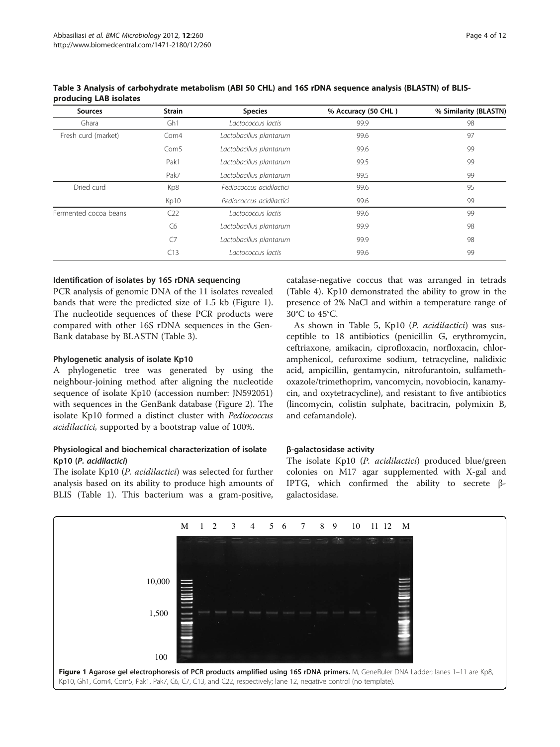| <b>Strain</b><br><b>Sources</b> |                  | <b>Species</b>           | % Accuracy (50 CHL) | % Similarity (BLASTN) |  |  |
|---------------------------------|------------------|--------------------------|---------------------|-----------------------|--|--|
| Ghara                           | Gh <sub>1</sub>  | Lactococcus lactis       | 99.9                | 98                    |  |  |
| Fresh curd (market)             | Com4             | Lactobacillus plantarum  | 99.6                | 97                    |  |  |
|                                 | Com <sub>5</sub> | Lactobacillus plantarum  | 99.6                | 99                    |  |  |
|                                 | Pak1             | Lactobacillus plantarum  | 99.5                | 99                    |  |  |
|                                 | Pak7             | Lactobacillus plantarum  | 99.5                | 99                    |  |  |
| Dried curd                      | Kp8              | Pediococcus acidilactici | 99.6                | 95                    |  |  |
|                                 | Kp10             | Pediococcus acidilactici | 99.6                | 99                    |  |  |
| Fermented cocoa beans           | C22              | Lactococcus lactis       | 99.6                | 99                    |  |  |
|                                 | C6               | Lactobacillus plantarum  | 99.9                | 98                    |  |  |
|                                 | $C$ 7            | Lactobacillus plantarum  | 99.9                | 98                    |  |  |
|                                 | C13              | Lactococcus lactis       | 99.6                | 99                    |  |  |

#### <span id="page-3-0"></span>Table 3 Analysis of carbohydrate metabolism (ABI 50 CHL) and 16S rDNA sequence analysis (BLASTN) of BLISproducing LAB isolates

# Identification of isolates by 16S rDNA sequencing

PCR analysis of genomic DNA of the 11 isolates revealed bands that were the predicted size of 1.5 kb (Figure 1). The nucleotide sequences of these PCR products were compared with other 16S rDNA sequences in the Gen-Bank database by BLASTN (Table 3).

# Phylogenetic analysis of isolate Kp10

A phylogenetic tree was generated by using the neighbour-joining method after aligning the nucleotide sequence of isolate Kp10 (accession number: JN592051) with sequences in the GenBank database (Figure [2\)](#page-4-0). The isolate Kp10 formed a distinct cluster with Pediococcus acidilactici, supported by a bootstrap value of 100%.

# Physiological and biochemical characterization of isolate Kp10 (P. acidilactici)

The isolate Kp10 (P. acidilactici) was selected for further analysis based on its ability to produce high amounts of BLIS (Table [1\)](#page-1-0). This bacterium was a gram-positive,

catalase-negative coccus that was arranged in tetrads (Table [4\)](#page-4-0). Kp10 demonstrated the ability to grow in the presence of 2% NaCl and within a temperature range of 30°C to 45°C.

As shown in Table [5,](#page-5-0) Kp10 (P. acidilactici) was susceptible to 18 antibiotics (penicillin G, erythromycin, ceftriaxone, amikacin, ciprofloxacin, norfloxacin, chloramphenicol, cefuroxime sodium, tetracycline, nalidixic acid, ampicillin, gentamycin, nitrofurantoin, sulfamethoxazole/trimethoprim, vancomycin, novobiocin, kanamycin, and oxytetracycline), and resistant to five antibiotics (lincomycin, colistin sulphate, bacitracin, polymixin B, and cefamandole).

#### β-galactosidase activity

The isolate Kp10 (P. *acidilactici*) produced blue/green colonies on M17 agar supplemented with X-gal and IPTG, which confirmed the ability to secrete βgalactosidase.

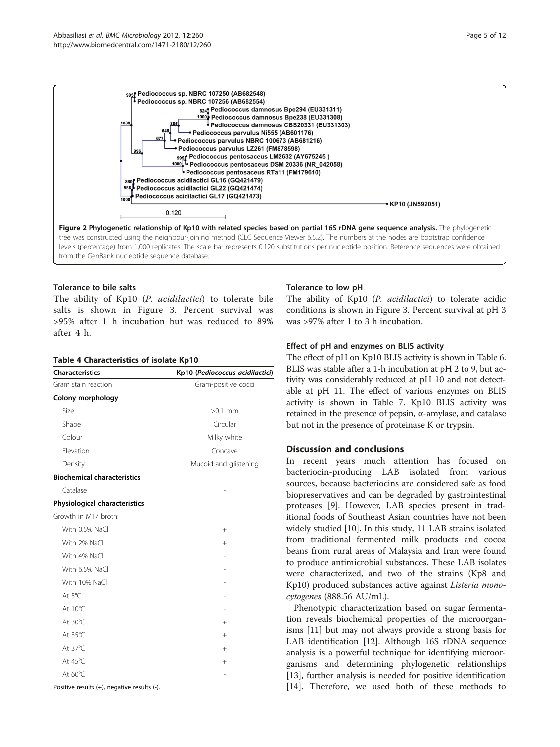<span id="page-4-0"></span>

#### Tolerance to bile salts

The ability of Kp10 (P. acidilactici) to tolerate bile salts is shown in Figure [3.](#page-6-0) Percent survival was >95% after 1 h incubation but was reduced to 89% after 4 h.

#### Table 4 Characteristics of isolate Kp10

| <b>Characteristics</b>             | Kp10 (Pediococcus acidilactici) |
|------------------------------------|---------------------------------|
| Gram stain reaction                | Gram-positive cocci             |
| Colony morphology                  |                                 |
| Size                               | $>0.1$ mm                       |
| Shape                              | Circular                        |
| Colour                             | Milky white                     |
| Elevation                          | Concave                         |
| Density                            | Mucoid and glistening           |
| <b>Biochemical characteristics</b> |                                 |
| Catalase                           |                                 |
| Physiological characteristics      |                                 |
| Growth in M17 broth:               |                                 |
| With 0.5% NaCl                     | $+$                             |
| With 2% NaCl                       | $^{+}$                          |
| With 4% NaCl                       |                                 |
| With 6.5% NaCl                     |                                 |
| With 10% NaCl                      |                                 |
| At 5°C                             |                                 |
| At 10°C                            |                                 |
| At 30°C                            | $^{+}$                          |
| At 35°C                            | $^{+}$                          |
| At 37°C                            | $^{+}$                          |
| At 45°C                            | $^{+}$                          |
| At 60°C                            |                                 |

Positive results (+), negative results (-).

#### Tolerance to low pH

The ability of Kp10 (P. acidilactici) to tolerate acidic conditions is shown in Figure [3.](#page-6-0) Percent survival at pH 3 was >97% after 1 to 3 h incubation.

#### Effect of pH and enzymes on BLIS activity

The effect of pH on Kp10 BLIS activity is shown in Table [6](#page-6-0). BLIS was stable after a 1-h incubation at pH 2 to 9, but activity was considerably reduced at pH 10 and not detectable at pH 11. The effect of various enzymes on BLIS activity is shown in Table [7](#page-6-0). Kp10 BLIS activity was retained in the presence of pepsin, α-amylase, and catalase but not in the presence of proteinase K or trypsin.

#### Discussion and conclusions

In recent years much attention has focused on bacteriocin-producing LAB isolated from various sources, because bacteriocins are considered safe as food biopreservatives and can be degraded by gastrointestinal proteases [\[9](#page-10-0)]. However, LAB species present in traditional foods of Southeast Asian countries have not been widely studied [\[10](#page-10-0)]. In this study, 11 LAB strains isolated from traditional fermented milk products and cocoa beans from rural areas of Malaysia and Iran were found to produce antimicrobial substances. These LAB isolates were characterized, and two of the strains (Kp8 and Kp10) produced substances active against *Listeria mono*cytogenes (888.56 AU/mL).

Phenotypic characterization based on sugar fermentation reveals biochemical properties of the microorganisms [[11\]](#page-10-0) but may not always provide a strong basis for LAB identification [\[12](#page-10-0)]. Although 16S rDNA sequence analysis is a powerful technique for identifying microorganisms and determining phylogenetic relationships [[13\]](#page-10-0), further analysis is needed for positive identification [[14\]](#page-10-0). Therefore, we used both of these methods to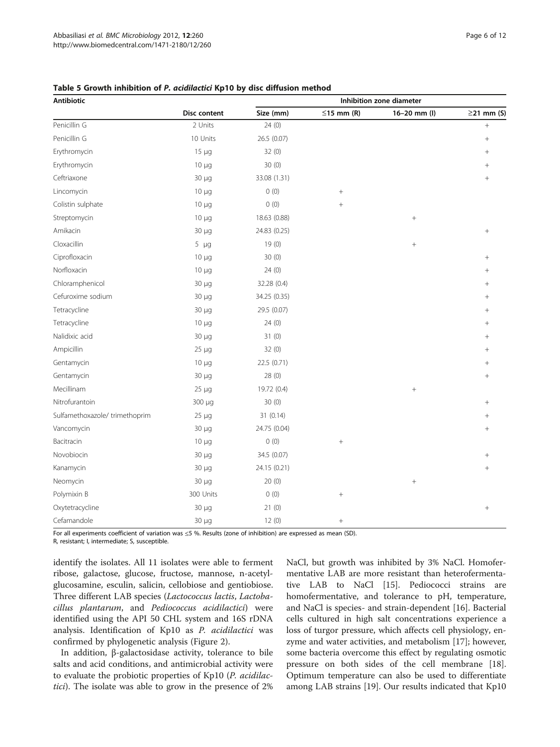| Antibiotic                    |                     |              |                  | Inhibition zone diameter |                  |
|-------------------------------|---------------------|--------------|------------------|--------------------------|------------------|
|                               | <b>Disc content</b> | Size (mm)    | $\leq$ 15 mm (R) | $16 - 20$ mm (I)         | $\geq$ 21 mm (S) |
| Penicillin G                  | 2 Units             | 24(0)        |                  |                          | $^{+}$           |
| Penicillin G                  | 10 Units            | 26.5 (0.07)  |                  |                          | $^{+}$           |
| Erythromycin                  | $15 \mu g$          | 32 (0)       |                  |                          | $^{+}$           |
| Erythromycin                  | $10 \mu g$          | 30(0)        |                  |                          | $^{+}$           |
| Ceftriaxone                   | 30 µg               | 33.08 (1.31) |                  |                          | $^{+}$           |
| Lincomycin                    | $10 \mu g$          | 0(0)         |                  |                          |                  |
| Colistin sulphate             | $10 \mu g$          | 0(0)         | $+$              |                          |                  |
| Streptomycin                  | $10 \mu g$          | 18.63 (0.88) |                  | $^{+}$                   |                  |
| Amikacin                      | $30 \mu g$          | 24.83 (0.25) |                  |                          | $^{+}$           |
| Cloxacillin                   | $5 \mu g$           | 19(0)        |                  | $+$                      |                  |
| Ciprofloxacin                 | $10 \mu g$          | 30 (0)       |                  |                          |                  |
| Norfloxacin                   | $10 \mu g$          | 24(0)        |                  |                          |                  |
| Chloramphenicol               | $30 \mu q$          | 32.28 (0.4)  |                  |                          |                  |
| Cefuroxime sodium             | $30 \mu g$          | 34.25 (0.35) |                  |                          |                  |
| Tetracycline                  | 30 µg               | 29.5 (0.07)  |                  |                          |                  |
| Tetracycline                  | $10 \mu q$          | 24(0)        |                  |                          | $^{+}$           |
| Nalidixic acid                | 30 µg               | 31(0)        |                  |                          | $^{+}$           |
| Ampicillin                    | $25 \mu g$          | 32 (0)       |                  |                          | $^{+}$           |
| Gentamycin                    | $10 \mu g$          | 22.5 (0.71)  |                  |                          | $^{+}$           |
| Gentamycin                    | 30 µg               | 28(0)        |                  |                          | $^{+}$           |
| Mecillinam                    | $25 \mu g$          | 19.72 (0.4)  |                  | $^{+}$                   |                  |
| Nitrofurantoin                | 300 µg              | 30(0)        |                  |                          | $+$              |
| Sulfamethoxazole/trimethoprim | $25 \mu g$          | 31 (0.14)    |                  |                          | $^{+}$           |
| Vancomycin                    | 30 µg               | 24.75 (0.04) |                  |                          | $^{+}$           |
| Bacitracin                    | $10 \mu g$          | 0(0)         |                  |                          |                  |
| Novobiocin                    | 30 µg               | 34.5 (0.07)  |                  |                          | $^{+}$           |
| Kanamycin                     | 30 µg               | 24.15 (0.21) |                  |                          | $^{+}$           |
| Neomycin                      | 30 µg               | 20(0)        |                  | $+$                      |                  |
| Polymixin B                   | 300 Units           | 0(0)         |                  |                          |                  |
| Oxytetracycline               | $30 \mu g$          | 21(0)        |                  |                          | $^{+}$           |
| Cefamandole                   | $30 \mu g$          | 12(0)        | $^{+}$           |                          |                  |

<span id="page-5-0"></span>Table 5 Growth inhibition of P. acidilactici Kp10 by disc diffusion method

For all experiments coefficient of variation was ≤5 %. Results (zone of inhibition) are expressed as mean (SD).

R, resistant; I, intermediate; S, susceptible.

identify the isolates. All 11 isolates were able to ferment ribose, galactose, glucose, fructose, mannose, n-acetylglucosamine, esculin, salicin, cellobiose and gentiobiose. Three different LAB species (Lactococcus lactis, Lactobacillus plantarum, and Pediococcus acidilactici) were identified using the API 50 CHL system and 16S rDNA analysis. Identification of Kp10 as P. acidilactici was confirmed by phylogenetic analysis (Figure [2\)](#page-4-0).

In addition, β-galactosidase activity, tolerance to bile salts and acid conditions, and antimicrobial activity were to evaluate the probiotic properties of Kp10 (P. acidilactici). The isolate was able to grow in the presence of 2% NaCl, but growth was inhibited by 3% NaCl. Homofermentative LAB are more resistant than heterofermentative LAB to NaCl [[15](#page-10-0)]. Pediococci strains are homofermentative, and tolerance to pH, temperature, and NaCl is species- and strain-dependent [[16\]](#page-10-0). Bacterial cells cultured in high salt concentrations experience a loss of turgor pressure, which affects cell physiology, enzyme and water activities, and metabolism [[17\]](#page-10-0); however, some bacteria overcome this effect by regulating osmotic pressure on both sides of the cell membrane [\[18](#page-10-0)]. Optimum temperature can also be used to differentiate among LAB strains [\[19\]](#page-10-0). Our results indicated that Kp10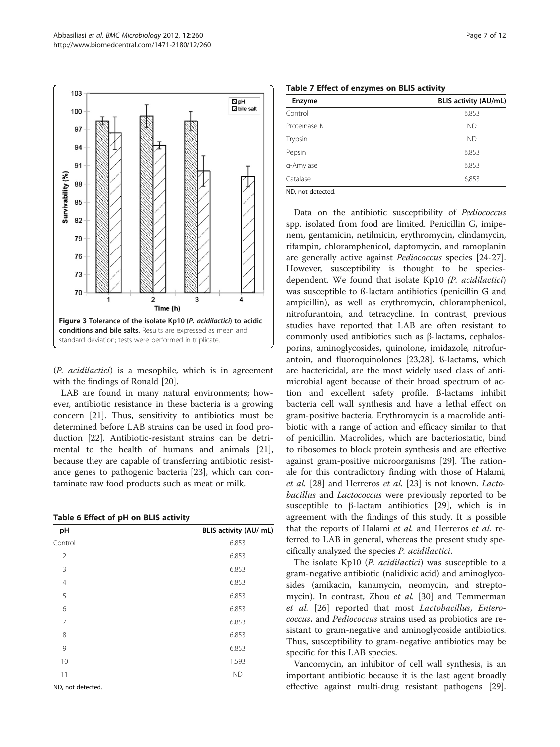<span id="page-6-0"></span>

(P. acidilactici) is a mesophile, which is in agreement with the findings of Ronald [[20](#page-10-0)].

LAB are found in many natural environments; however, antibiotic resistance in these bacteria is a growing concern [\[21](#page-10-0)]. Thus, sensitivity to antibiotics must be determined before LAB strains can be used in food production [\[22](#page-10-0)]. Antibiotic-resistant strains can be detrimental to the health of humans and animals [\[21](#page-10-0)], because they are capable of transferring antibiotic resistance genes to pathogenic bacteria [\[23](#page-10-0)], which can contaminate raw food products such as meat or milk.

| pH             | BLIS activity (AU/ mL) |
|----------------|------------------------|
| Control        | 6,853                  |
| $\overline{2}$ | 6,853                  |
| 3              | 6,853                  |
| 4              | 6,853                  |
| 5              | 6,853                  |
| 6              | 6,853                  |
| 7              | 6,853                  |
| 8              | 6,853                  |
| 9              | 6,853                  |
| 10             | 1,593                  |
| 11             | <b>ND</b>              |
|                |                        |

ND, not detected.

|  |  |  | Table 7 Effect of enzymes on BLIS activity |  |  |  |
|--|--|--|--------------------------------------------|--|--|--|
|--|--|--|--------------------------------------------|--|--|--|

| <b>Enzyme</b> | <b>BLIS activity (AU/mL)</b> |
|---------------|------------------------------|
| Control       | 6,853                        |
| Proteinase K  | <b>ND</b>                    |
| Trypsin       | <b>ND</b>                    |
| Pepsin        | 6,853                        |
| a-Amylase     | 6,853                        |
| Catalase      | 6,853                        |
| $MD = 122$    |                              |

ND, not detected.

Data on the antibiotic susceptibility of Pediococcus spp. isolated from food are limited. Penicillin G, imipenem, gentamicin, netilmicin, erythromycin, clindamycin, rifampin, chloramphenicol, daptomycin, and ramoplanin are generally active against Pediococcus species [\[24-27](#page-10-0)]. However, susceptibility is thought to be speciesdependent. We found that isolate Kp10 (P. acidilactici) was susceptible to ß-lactam antibiotics (penicillin G and ampicillin), as well as erythromycin, chloramphenicol, nitrofurantoin, and tetracycline. In contrast, previous studies have reported that LAB are often resistant to commonly used antibiotics such as β-lactams, cephalosporins, aminoglycosides, quinolone, imidazole, nitrofurantoin, and fluoroquinolones [\[23,28\]](#page-10-0). ß-lactams, which are bactericidal, are the most widely used class of antimicrobial agent because of their broad spectrum of action and excellent safety profile. ß-lactams inhibit bacteria cell wall synthesis and have a lethal effect on gram-positive bacteria. Erythromycin is a macrolide antibiotic with a range of action and efficacy similar to that of penicillin. Macrolides, which are bacteriostatic, bind to ribosomes to block protein synthesis and are effective against gram-positive microorganisms [[29\]](#page-10-0). The rationale for this contradictory finding with those of Halami, et al. [[28](#page-10-0)] and Herreros et al. [[23](#page-10-0)] is not known. Lactobacillus and Lactococcus were previously reported to be susceptible to β-lactam antibiotics [\[29\]](#page-10-0), which is in agreement with the findings of this study. It is possible that the reports of Halami et al. and Herreros et al. referred to LAB in general, whereas the present study specifically analyzed the species P. acidilactici.

The isolate Kp10 (P. *acidilactici*) was susceptible to a gram-negative antibiotic (nalidixic acid) and aminoglycosides (amikacin, kanamycin, neomycin, and strepto-mycin). In contrast, Zhou et al. [\[30](#page-10-0)] and Temmerman et al. [[26\]](#page-10-0) reported that most Lactobacillus, Enterococcus, and Pediococcus strains used as probiotics are resistant to gram-negative and aminoglycoside antibiotics. Thus, susceptibility to gram-negative antibiotics may be specific for this LAB species.

Vancomycin, an inhibitor of cell wall synthesis, is an important antibiotic because it is the last agent broadly effective against multi-drug resistant pathogens [\[29](#page-10-0)].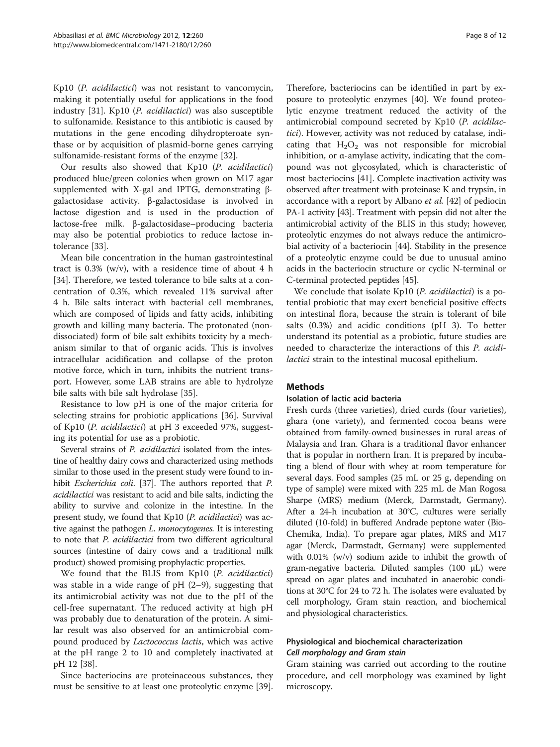Kp10 (P. acidilactici) was not resistant to vancomycin, making it potentially useful for applications in the food industry [\[31\]](#page-10-0). Kp10 (P. acidilactici) was also susceptible to sulfonamide. Resistance to this antibiotic is caused by mutations in the gene encoding dihydropteroate synthase or by acquisition of plasmid-borne genes carrying sulfonamide-resistant forms of the enzyme [[32\]](#page-10-0).

Our results also showed that Kp10 (P. acidilactici) produced blue/green colonies when grown on M17 agar supplemented with X-gal and IPTG, demonstrating βgalactosidase activity. β-galactosidase is involved in lactose digestion and is used in the production of lactose-free milk. β-galactosidase–producing bacteria may also be potential probiotics to reduce lactose intolerance [\[33](#page-10-0)].

Mean bile concentration in the human gastrointestinal tract is  $0.3\%$  (w/v), with a residence time of about 4 h [[34\]](#page-10-0). Therefore, we tested tolerance to bile salts at a concentration of 0.3%, which revealed 11% survival after 4 h. Bile salts interact with bacterial cell membranes, which are composed of lipids and fatty acids, inhibiting growth and killing many bacteria. The protonated (nondissociated) form of bile salt exhibits toxicity by a mechanism similar to that of organic acids. This is involves intracellular acidification and collapse of the proton motive force, which in turn, inhibits the nutrient transport. However, some LAB strains are able to hydrolyze bile salts with bile salt hydrolase [\[35](#page-10-0)].

Resistance to low pH is one of the major criteria for selecting strains for probiotic applications [[36\]](#page-10-0). Survival of Kp10 (P. acidilactici) at pH 3 exceeded 97%, suggesting its potential for use as a probiotic.

Several strains of P. acidilactici isolated from the intestine of healthy dairy cows and characterized using methods similar to those used in the present study were found to inhibit *Escherichia coli*. [\[37\]](#page-10-0). The authors reported that *P*. acidilactici was resistant to acid and bile salts, indicting the ability to survive and colonize in the intestine. In the present study, we found that Kp10 (P. acidilactici) was active against the pathogen *L. monocytogenes*. It is interesting to note that P. acidilactici from two different agricultural sources (intestine of dairy cows and a traditional milk product) showed promising prophylactic properties.

We found that the BLIS from Kp10 (P. acidilactici) was stable in a wide range of  $pH$  (2–9), suggesting that its antimicrobial activity was not due to the pH of the cell-free supernatant. The reduced activity at high pH was probably due to denaturation of the protein. A similar result was also observed for an antimicrobial compound produced by Lactococcus lactis, which was active at the pH range 2 to 10 and completely inactivated at pH 12 [\[38](#page-10-0)].

Since bacteriocins are proteinaceous substances, they must be sensitive to at least one proteolytic enzyme [\[39](#page-10-0)].

Therefore, bacteriocins can be identified in part by exposure to proteolytic enzymes [[40\]](#page-10-0). We found proteolytic enzyme treatment reduced the activity of the antimicrobial compound secreted by Kp10 (P. acidilactici). However, activity was not reduced by catalase, indicating that  $H_2O_2$  was not responsible for microbial inhibition, or  $α$ -amylase activity, indicating that the compound was not glycosylated, which is characteristic of most bacteriocins [\[41\]](#page-10-0). Complete inactivation activity was observed after treatment with proteinase K and trypsin, in accordance with a report by Albano et al. [\[42\]](#page-10-0) of pediocin PA-1 activity [[43](#page-10-0)]. Treatment with pepsin did not alter the antimicrobial activity of the BLIS in this study; however, proteolytic enzymes do not always reduce the antimicrobial activity of a bacteriocin [\[44\]](#page-10-0). Stability in the presence of a proteolytic enzyme could be due to unusual amino acids in the bacteriocin structure or cyclic N-terminal or C-terminal protected peptides [[45](#page-10-0)].

We conclude that isolate Kp10 (P. acidilactici) is a potential probiotic that may exert beneficial positive effects on intestinal flora, because the strain is tolerant of bile salts (0.3%) and acidic conditions (pH 3). To better understand its potential as a probiotic, future studies are needed to characterize the interactions of this P. acidilactici strain to the intestinal mucosal epithelium.

#### **Methods**

#### Isolation of lactic acid bacteria

Fresh curds (three varieties), dried curds (four varieties), ghara (one variety), and fermented cocoa beans were obtained from family-owned businesses in rural areas of Malaysia and Iran. Ghara is a traditional flavor enhancer that is popular in northern Iran. It is prepared by incubating a blend of flour with whey at room temperature for several days. Food samples (25 mL or 25 g, depending on type of sample) were mixed with 225 mL de Man Rogosa Sharpe (MRS) medium (Merck, Darmstadt, Germany). After a 24-h incubation at 30°C, cultures were serially diluted (10-fold) in buffered Andrade peptone water (Bio-Chemika, India). To prepare agar plates, MRS and M17 agar (Merck, Darmstadt, Germany) were supplemented with 0.01% (w/v) sodium azide to inhibit the growth of gram-negative bacteria. Diluted samples (100 μL) were spread on agar plates and incubated in anaerobic conditions at 30°C for 24 to 72 h. The isolates were evaluated by cell morphology, Gram stain reaction, and biochemical and physiological characteristics.

#### Physiological and biochemical characterization Cell morphology and Gram stain

Gram staining was carried out according to the routine procedure, and cell morphology was examined by light microscopy.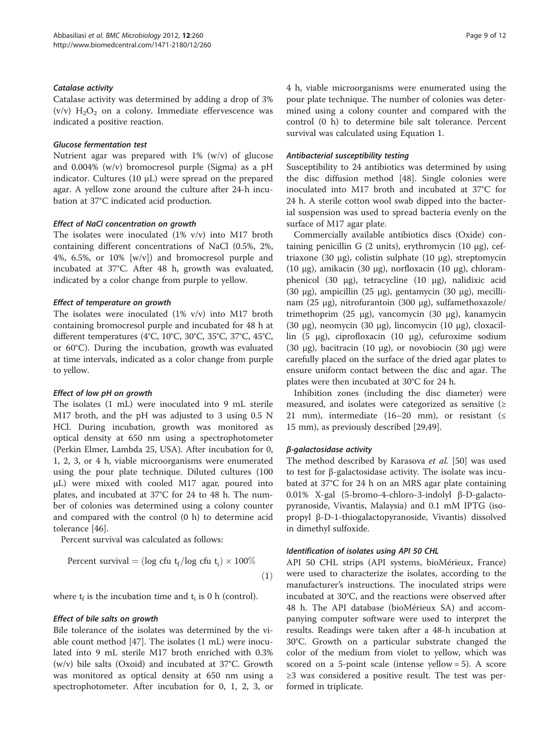#### Catalase activity

Catalase activity was determined by adding a drop of 3%  $(v/v)$  H<sub>2</sub>O<sub>2</sub> on a colony. Immediate effervescence was indicated a positive reaction.

#### Glucose fermentation test

Nutrient agar was prepared with 1% (w/v) of glucose and 0.004% (w/v) bromocresol purple (Sigma) as a pH indicator. Cultures (10 μL) were spread on the prepared agar. A yellow zone around the culture after 24-h incubation at 37°C indicated acid production.

#### Effect of NaCl concentration on growth

The isolates were inoculated (1% v/v) into M17 broth containing different concentrations of NaCl (0.5%, 2%, 4%, 6.5%, or 10%  $[w/v]$  and bromocresol purple and incubated at 37°C. After 48 h, growth was evaluated, indicated by a color change from purple to yellow.

#### Effect of temperature on growth

The isolates were inoculated (1% v/v) into M17 broth containing bromocresol purple and incubated for 48 h at different temperatures (4°C, 10°C, 30°C, 35°C, 37°C, 45°C, or 60°C). During the incubation, growth was evaluated at time intervals, indicated as a color change from purple to yellow.

#### Effect of low pH on growth

The isolates (1 mL) were inoculated into 9 mL sterile M17 broth, and the pH was adjusted to 3 using 0.5 N HCl. During incubation, growth was monitored as optical density at 650 nm using a spectrophotometer (Perkin Elmer, Lambda 25, USA). After incubation for 0, 1, 2, 3, or 4 h, viable microorganisms were enumerated using the pour plate technique. Diluted cultures (100 μL) were mixed with cooled M17 agar, poured into plates, and incubated at 37°C for 24 to 48 h. The number of colonies was determined using a colony counter and compared with the control (0 h) to determine acid tolerance [\[46](#page-10-0)].

Percent survival was calculated as follows:

Percent survival = (log cfu 
$$
t_f
$$
/log cfu  $t_i$ ) × 100% (1)

where  $t_f$  is the incubation time and  $t_i$  is 0 h (control).

#### Effect of bile salts on growth

Bile tolerance of the isolates was determined by the viable count method [\[47](#page-10-0)]. The isolates (1 mL) were inoculated into 9 mL sterile M17 broth enriched with 0.3% (w/v) bile salts (Oxoid) and incubated at 37°C. Growth was monitored as optical density at 650 nm using a spectrophotometer. After incubation for 0, 1, 2, 3, or 4 h, viable microorganisms were enumerated using the pour plate technique. The number of colonies was determined using a colony counter and compared with the control (0 h) to determine bile salt tolerance. Percent survival was calculated using Equation 1.

#### Antibacterial susceptibility testing

Susceptibility to 24 antibiotics was determined by using the disc diffusion method [[48\]](#page-10-0). Single colonies were inoculated into M17 broth and incubated at 37°C for 24 h. A sterile cotton wool swab dipped into the bacterial suspension was used to spread bacteria evenly on the surface of M17 agar plate.

Commercially available antibiotics discs (Oxide) containing penicillin G (2 units), erythromycin (10 μg), ceftriaxone (30 μg), colistin sulphate (10 μg), streptomycin (10 μg), amikacin (30 μg), norfloxacin (10 μg), chloramphenicol (30 μg), tetracycline (10 μg), nalidixic acid (30 μg), ampicillin (25 μg), gentamycin (30 μg), mecillinam (25 μg), nitrofurantoin (300 μg), sulfamethoxazole/ trimethoprim (25 μg), vancomycin (30 μg), kanamycin (30 μg), neomycin (30 μg), lincomycin (10 μg), cloxacillin (5 μg), ciprofloxacin (10 μg), cefuroxime sodium (30 μg), bacitracin (10 μg), or novobiocin (30 μg) were carefully placed on the surface of the dried agar plates to ensure uniform contact between the disc and agar. The plates were then incubated at 30°C for 24 h.

Inhibition zones (including the disc diameter) were measured, and isolates were categorized as sensitive  $(≥$ 21 mm), intermediate (16–20 mm), or resistant ( $\leq$ 15 mm), as previously described [[29,49\]](#page-10-0).

#### β-galactosidase activity

The method described by Karasova et al. [\[50](#page-11-0)] was used to test for β-galactosidase activity. The isolate was incubated at 37°C for 24 h on an MRS agar plate containing 0.01% X-gal (5-bromo-4-chloro-3-indolyl β-D-galactopyranoside, Vivantis, Malaysia) and 0.1 mM IPTG (isopropyl β-D-1-thiogalactopyranoside, Vivantis) dissolved in dimethyl sulfoxide.

#### Identification of isolates using API 50 CHL

API 50 CHL strips (API systems, bioMérieux, France) were used to characterize the isolates, according to the manufacturer's instructions. The inoculated strips were incubated at 30°C, and the reactions were observed after 48 h. The API database (bioMérieux SA) and accompanying computer software were used to interpret the results. Readings were taken after a 48-h incubation at 30°C. Growth on a particular substrate changed the color of the medium from violet to yellow, which was scored on a 5-point scale (intense yellow = 5). A score ≥3 was considered a positive result. The test was performed in triplicate.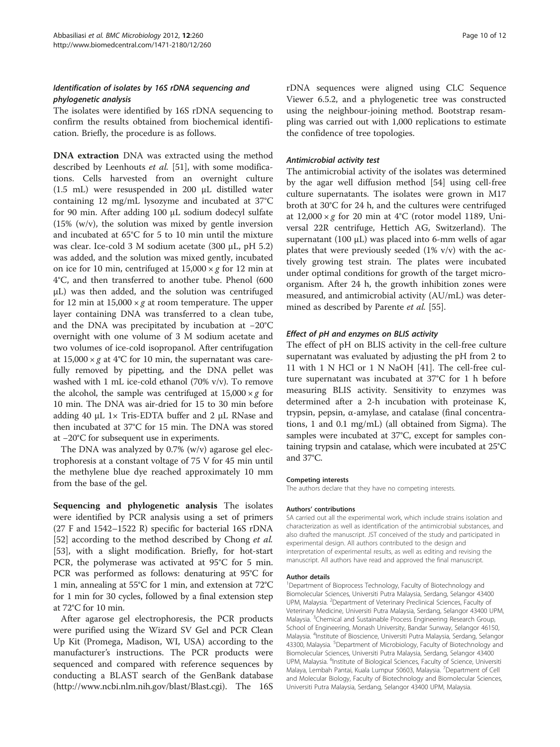# Identification of isolates by 16S rDNA sequencing and phylogenetic analysis

The isolates were identified by 16S rDNA sequencing to confirm the results obtained from biochemical identification. Briefly, the procedure is as follows.

DNA extraction DNA was extracted using the method described by Leenhouts et al. [\[51](#page-11-0)], with some modifications. Cells harvested from an overnight culture (1.5 mL) were resuspended in 200 μL distilled water containing 12 mg/mL lysozyme and incubated at 37°C for 90 min. After adding 100 μL sodium dodecyl sulfate  $(15\%$  (w/v), the solution was mixed by gentle inversion and incubated at 65°C for 5 to 10 min until the mixture was clear. Ice-cold 3 M sodium acetate (300 μL, pH 5.2) was added, and the solution was mixed gently, incubated on ice for 10 min, centrifuged at  $15,000 \times g$  for 12 min at 4°C, and then transferred to another tube. Phenol (600 μL) was then added, and the solution was centrifuged for 12 min at  $15,000 \times g$  at room temperature. The upper layer containing DNA was transferred to a clean tube, and the DNA was precipitated by incubation at −20°C overnight with one volume of 3 M sodium acetate and two volumes of ice-cold isopropanol. After centrifugation at  $15,000 \times g$  at  $4^{\circ}$ C for 10 min, the supernatant was carefully removed by pipetting, and the DNA pellet was washed with 1 mL ice-cold ethanol (70% v/v). To remove the alcohol, the sample was centrifuged at  $15,000 \times g$  for 10 min. The DNA was air-dried for 15 to 30 min before adding 40 μL 1× Tris-EDTA buffer and 2 μL RNase and then incubated at 37°C for 15 min. The DNA was stored at −20°C for subsequent use in experiments.

The DNA was analyzed by 0.7% (w/v) agarose gel electrophoresis at a constant voltage of 75 V for 45 min until the methylene blue dye reached approximately 10 mm from the base of the gel.

Sequencing and phylogenetic analysis The isolates were identified by PCR analysis using a set of primers (27 F and 1542–1522 R) specific for bacterial 16S rDNA [[52\]](#page-11-0) according to the method described by Chong et al. [[53\]](#page-11-0), with a slight modification. Briefly, for hot-start PCR, the polymerase was activated at 95°C for 5 min. PCR was performed as follows: denaturing at 95°C for 1 min, annealing at 55°C for 1 min, and extension at 72°C for 1 min for 30 cycles, followed by a final extension step at 72°C for 10 min.

After agarose gel electrophoresis, the PCR products were purified using the Wizard SV Gel and PCR Clean Up Kit (Promega, Madison, WI, USA) according to the manufacturer's instructions. The PCR products were sequenced and compared with reference sequences by conducting a BLAST search of the GenBank database (http://www.ncbi.nlm.nih.gov/blast/Blast.cgi). The 16S rDNA sequences were aligned using CLC Sequence Viewer 6.5.2, and a phylogenetic tree was constructed using the neighbour-joining method. Bootstrap resampling was carried out with 1,000 replications to estimate the confidence of tree topologies.

#### Antimicrobial activity test

The antimicrobial activity of the isolates was determined by the agar well diffusion method [[54\]](#page-11-0) using cell-free culture supernatants. The isolates were grown in M17 broth at 30°C for 24 h, and the cultures were centrifuged at  $12,000 \times g$  for 20 min at 4°C (rotor model 1189, Universal 22R centrifuge, Hettich AG, Switzerland). The supernatant (100  $\mu$ L) was placed into 6-mm wells of agar plates that were previously seeded  $(1\% \text{ v/v})$  with the actively growing test strain. The plates were incubated under optimal conditions for growth of the target microorganism. After 24 h, the growth inhibition zones were measured, and antimicrobial activity (AU/mL) was deter-mined as described by Parente et al. [\[55](#page-11-0)].

#### Effect of pH and enzymes on BLIS activity

The effect of pH on BLIS activity in the cell-free culture supernatant was evaluated by adjusting the pH from 2 to 11 with 1 N HCl or 1 N NaOH [\[41\]](#page-10-0). The cell-free culture supernatant was incubated at 37°C for 1 h before measuring BLIS activity. Sensitivity to enzymes was determined after a 2-h incubation with proteinase K, trypsin, pepsin, α-amylase, and catalase (final concentrations, 1 and 0.1 mg/mL) (all obtained from Sigma). The samples were incubated at 37°C, except for samples containing trypsin and catalase, which were incubated at 25°C and 37°C.

#### Competing interests

The authors declare that they have no competing interests.

#### Authors' contributions

SA carried out all the experimental work, which include strains isolation and characterization as well as identification of the antimicrobial substances, and also drafted the manuscript. JST conceived of the study and participated in experimental design. All authors contributed to the design and interpretation of experimental results, as well as editing and revising the manuscript. All authors have read and approved the final manuscript.

#### Author details

<sup>1</sup>Department of Bioprocess Technology, Faculty of Biotechnology and Biomolecular Sciences, Universiti Putra Malaysia, Serdang, Selangor 43400 UPM, Malaysia. <sup>2</sup>Department of Veterinary Preclinical Sciences, Faculty of Veterinary Medicine, Universiti Putra Malaysia, Serdang, Selangor 43400 UPM, Malaysia. <sup>3</sup>Chemical and Sustainable Process Engineering Research Group, School of Engineering, Monash University, Bandar Sunway, Selangor 46150, Malaysia. <sup>4</sup> Institute of Bioscience, Universiti Putra Malaysia, Serdang, Selangor 43300, Malaysia. <sup>5</sup>Department of Microbiology, Faculty of Biotechnology and Biomolecular Sciences, Universiti Putra Malaysia, Serdang, Selangor 43400 UPM, Malaysia. <sup>6</sup>Institute of Biological Sciences, Faculty of Science, Universiti Malaya, Lembah Pantai, Kuala Lumpur 50603, Malaysia. <sup>7</sup>Department of Cell and Molecular Biology, Faculty of Biotechnology and Biomolecular Sciences, Universiti Putra Malaysia, Serdang, Selangor 43400 UPM, Malaysia.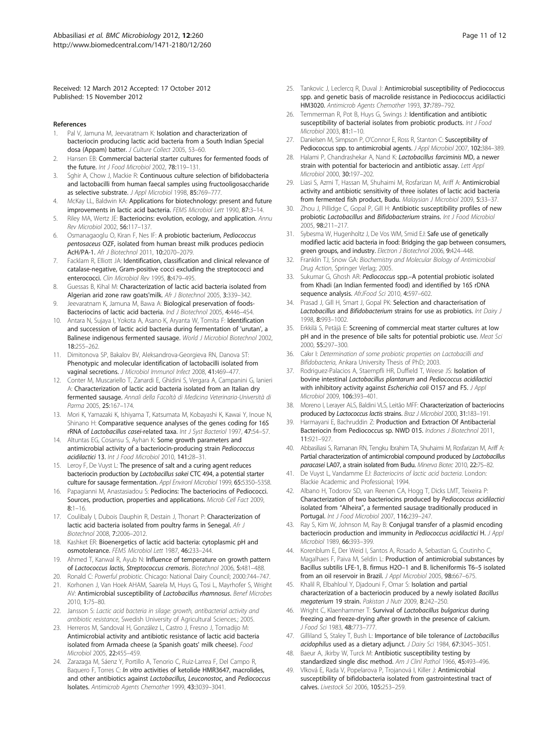<span id="page-10-0"></span>Received: 12 March 2012 Accepted: 17 October 2012 Published: 15 November 2012

- References
- Pal V, Jamuna M, Jeevaratnam K: Isolation and characterization of bacteriocin producing lactic acid bacteria from a South Indian Special dosa (Appam) batter. J Culture Collect 2005, 53–60.
- 2. Hansen EB: Commercial bacterial starter cultures for fermented foods of the future. Int J Food Microbiol 2002, 78:119–131.
- 3. Sghir A, Chow J, Mackie R: Continuous culture selection of bifidobacteria and lactobacilli from human faecal samples using fructooligosaccharide as selective substrate. J Appl Microbiol 1998, 85:769–777.
- 4. McKay LL, Baldwin KA: Applications for biotechnology: present and future improvements in lactic acid bacteria. FEMS Microbiol Lett 1990, 87:3–14.
- 5. Riley MA, Wertz JE: Bacteriocins: evolution, ecology, and application. Annu Rev Microbiol 2002, 56:117–137.
- 6. Osmanagaoglu O, Kiran F, Nes IF: A probiotic bacterium, Pediococcus pentosaceus OZF, isolated from human breast milk produces pediocin AcH/PA-1. Afr J Biotechnol 2011, 10:2070–2079.
- 7. Facklam R, Elliott JA: Identification, classification and clinical relevance of catalase-negative, Gram-positive cocci excluding the streptococci and enterococci. Clin Microbiol Rev 1995, 8:479–495.
- 8. Guessas B, Kihal M: Characterization of lactic acid bacteria isolated from Algerian arid zone raw goats'milk. Afr J Biotechnol 2005, 3:339–342.
- Jeevaratnam K, Jamuna M, Bawa A: Biological preservation of foods-Bacteriocins of lactic acid bacteria. Ind J Biotechnol 2005, 4:446–454.
- 10. Antara N, Sujaya I, Yokota A, Asano K, Aryanta W, Tomita F: Identification and succession of lactic acid bacteria during fermentation of 'urutan', a Balinese indigenous fermented sausage. World J Microbiol Biotechnol 2002, 18:255–262.
- 11. Dimitonova SP, Bakalov BV, Aleksandrova-Georgieva RN, Danova ST: Phenotypic and molecular identification of lactobacilli isolated from vaginal secretions. J Microbiol Immunol Infect 2008, 41:469–477.
- 12. Conter M, Muscariello T, Zanardi E, Ghidini S, Vergara A, Campanini G, Ianieri A: Characterization of lactic acid bacteria isolated from an Italian dry fermented sausage. Annali della Facoltà di Medicina Veterinaria-Università di Parma 2005, 25:167–174.
- 13. Mori K, Yamazaki K, Ishiyama T, Katsumata M, Kobayashi K, Kawai Y, Inoue N, Shinano H: Comparative sequence analyses of the genes coding for 16S rRNA of Lactobacillus casei-related taxa. Int J Syst Bacteriol 1997, 47:54–57.
- 14. Altuntas EG, Cosansu S, Ayhan K: Some growth parameters and antimicrobial activity of a bacteriocin-producing strain Pediococcus acidilactici 13. Int J Food Microbiol 2010, 141:28–31.
- 15. Leroy F, De Vuyst L: The presence of salt and a curing agent reduces bacteriocin production by Lactobacillus sakei CTC 494, a potential starter culture for sausage fermentation. Appl Environl Microbiol 1999, 65:5350–5358.
- 16. Papagianni M, Anastasiadou S: Pediocins: The bacteriocins of Pediococci. Sources, production, properties and applications. Microb Cell Fact 2009,  $8:1-16$
- 17. Coulibaly I, Dubois Dauphin R, Destain J, Thonart P: Characterization of lactic acid bacteria isolated from poultry farms in Senegal. Afr J Biotechnol 2008, 7:2006–2012.
- 18. Kashket ER: Bioenergetics of lactic acid bacteria: cytoplasmic pH and osmotolerance. FEMS Microbiol Lett 1987, 46:233–244.
- 19. Ahmed T, Kanwal R, Ayub N: Influence of temperature on growth pattern of Lactococcus lactis, Streptococcus cremoris. Biotechnol 2006, 5:481–488.
- 20. Ronald C: Powerful probiotic. Chicago: National Dairy Council; 2000:744–747.
- 21. Korhonen J, Van Hoek AHAM, Saarela M, Huys G, Tosi L, Mayrhofer S, Wright AV: Antimicrobial susceptibility of Lactobacillus rhamnosus. Benef Microbes 2010, 1:75–80.
- 22. Jansson S: Lactic acid bacteria in silage: growth, antibacterial activity and antibiotic resistance, Swedish University of Agricultural Sciences.; 2005.
- 23. Herreros M, Sandoval H, González L, Castro J, Fresno J, Tornadijo M: Antimicrobial activity and antibiotic resistance of lactic acid bacteria isolated from Armada cheese (a Spanish goats' milk cheese). Food Microbiol 2005, 22:455–459.
- 24. Zarazaga M, Sáenz Y, Portillo A, Tenorio C, Ruiz-Larrea F, Del Campo R, Baquero F, Torres C: *In vitro* activities of ketolide HMR3647, macrolides, and other antibiotics against Lactobacillus, Leuconostoc, and Pediococcus Isolates. Antimicrob Agents Chemother 1999, 43:3039–3041.
- 25. Tankovic J, Leclercq R, Duval J: Antimicrobial susceptibility of Pediococcus spp. and genetic basis of macrolide resistance in Pediococcus acidilactici HM3020. Antimicrob Agents Chemother 1993, 37:789–792.
- 26. Temmerman R, Pot B, Huys G, Swings J: Identification and antibiotic susceptibility of bacterial isolates from probiotic products. Int J Food Microbiol 2003, 81:1–10.
- 27. Danielsen M, Simpson P, O'Connor E, Ross R, Stanton C: Susceptibility of Pediococcus spp. to antimicrobial agents. J Appl Microbiol 2007, 102:384-389.
- 28. Halami P, Chandrashekar A, Nand K: Lactobacillus farciminis MD, a newer strain with potential for bacteriocin and antibiotic assay. Lett Appl Microbiol 2000, 30:197-202.
- 29. Liasi S, Azmi T, Hassan M, Shuhaimi M, Rosfarizan M, Ariff A: Antimicrobial activity and antibiotic sensitivity of three isolates of lactic acid bacteria from fermented fish product, Budu. Malaysian J Microbiol 2009, 5:33–37.
- 30. Zhou J, Pillidge C, Gopal P, Gill H: Antibiotic susceptibility profiles of new probiotic Lactobacillus and Bifidobacterium strains. Int J Food Microbiol 2005, 98:211–217.
- 31. Sybesma W, Hugenholtz J, De Vos WM, Smid EJ: Safe use of genetically modified lactic acid bacteria in food: Bridging the gap between consumers, green groups, and industry. Electron J Biotechnol 2006, 9:424-448.
- 32. Franklin TJ, Snow GA: Biochemistry and Molecular Biology of Antimicrobial Drug Action, Springer Verlag; 2005.
- 33. Sukumar G, Ghosh AR: Pediococcus spp.-A potential probiotic isolated from Khadi (an Indian fermented food) and identified by 16S rDNA sequence analysis. AfrJFood Sci 2010, 4:597–602.
- 34. Prasad J, Gill H, Smart J, Gopal PK: Selection and characterisation of Lactobacillus and Bifidobacterium strains for use as probiotics. Int Dairy J 1998, 8:993–1002.
- 35. Erkkilä S, Petäjä E: Screening of commercial meat starter cultures at low pH and in the presence of bile salts for potential probiotic use. Meat Sci 2000, 55:297–300.
- 36. Cakır I: Determination of some probiotic properties on Lactobacilli and Bifidobacteria, Ankara University Thesis of PhD; 2003.
- 37. Rodriguez-Palacios A, Staempfli HR, Duffield T, Weese JS: Isolation of bovine intestinal Lactobacillus plantarum and Pediococcus acidilactici with inhibitory activity against Escherichia coli O157 and F5. J Appl Microbiol 2009, 106:393–401.
- 38. Moreno I, Lerayer ALS, Baldini VLS, Leitão MFF: Characterization of bacteriocins produced by Lactococcus lactis strains. Braz J Microbiol 2000, 31:183–191.
- 39. Harmayani E, Bachruddin Z: Production and Extraction Of Antibacterial Bacteriocin from Pediococcus sp. NWD 015. Indones J Biotechnol 2011, 11:921–927.
- 40. Abbasiliasi S, Ramanan RN, Tengku Ibrahim TA, Shuhaimi M, Rosfarizan M, Ariff A: Partial characterization of antimicrobial compound produced by Lactobacillus paracasei LA07, a strain isolated from Budu. Minerva Biotec 2010, 22:75–82.
- 41. De Vuyst L. Vandamme EJ: Bacteriocins of lactic acid bacteria. London: Blackie Academic and Professional; 1994.
- 42. Albano H, Todorov SD, van Reenen CA, Hogg T, Dicks LMT, Teixeira P: Characterization of two bacteriocins produced by Pediococcus acidilactici isolated from "Alheira", a fermented sausage traditionally produced in Portugal. Int J Food Microbiol 2007, 116:239–247.
- 43. Ray S, Kim W, Johnson M, Ray B: Conjugal transfer of a plasmid encoding bacteriocin production and immunity in Pediococcus acidilactici H. J Appl Microbiol 1989, 66:393–399.
- 44. Korenblum E, Der Weid I, Santos A, Rosado A, Sebastian G, Coutinho C, Magalhaes F, Paiva M, Seldin L: Production of antimicrobial substances by Bacillus subtilis LFE-1, B. firmus H2O–1 and B. licheniformis T6–5 isolated from an oil reservoir in Brazil. J Appl Microbiol 2005, 98:667-675.
- 45. Khalil R, Elbahloul Y, Djadouni F, Omar S: Isolation and partial characterization of a bacteriocin produced by a newly isolated Bacillus megaterium 19 strain. Pakistan J Nutr 2009, 8:242–250.
- 46. Wright C, Klaenhammer T: Survival of Lactobacillus bulgaricus during freezing and freeze-drying after growth in the presence of calcium. J Food Sci 1983, 48:773–777.
- 47. Gilliland S, Staley T, Bush L: Importance of bile tolerance of Lactobacillus acidophilus used as a dietary adjunct. J Dairy Sci 1984, 67:3045–3051.
- 48. Baeur A, Jkirby W, Turck M: Antibiotic susceptibility testing by standardized single disc method. Am J Clinl Pathol 1966, 45:493-496.
- 49. Vlková E, Rada V, Popelarova P, Trojanová I, Killer J: Antimicrobial susceptibility of bifidobacteria isolated from gastrointestinal tract of calves. Livestock Sci 2006, 105:253–259.